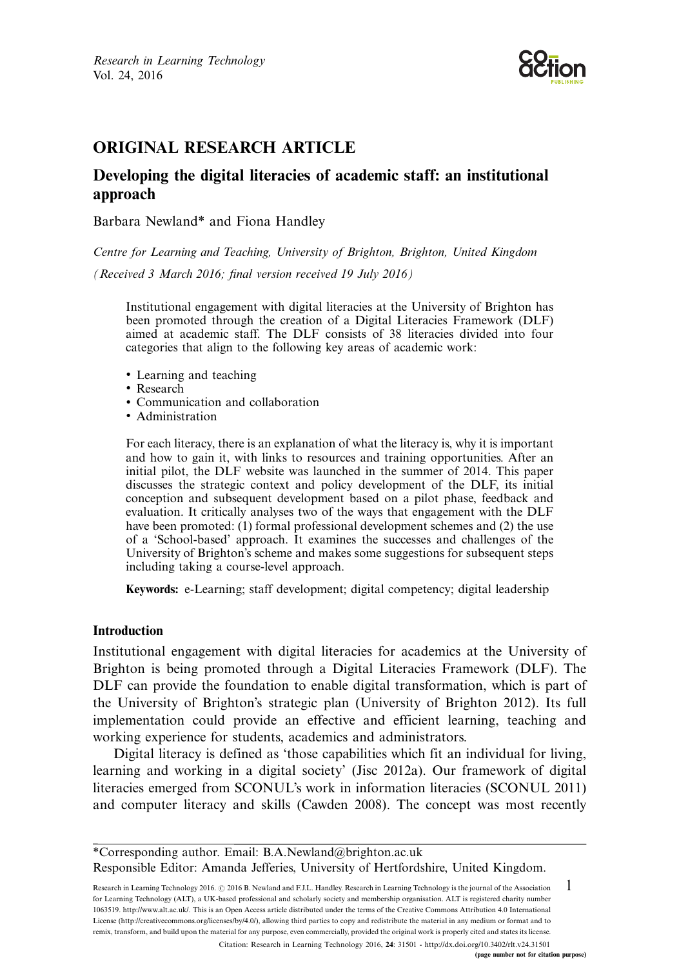Research in Learning Technology Vol. 24, 2016



# ORIGINAL RESEARCH ARTICLE

# Developing the digital literacies of academic staff: an institutional approach

Barbara Newland\* and Fiona Handley

Centre for Learning and Teaching, University of Brighton, Brighton, United Kingdom

(Received 3 March 2016; final version received 19 July 2016)

Institutional engagement with digital literacies at the University of Brighton has been promoted through the creation of a Digital Literacies Framework (DLF) aimed at academic staff. The DLF consists of 38 literacies divided into four categories that align to the following key areas of academic work:

- Learning and teaching
- Research
- Communication and collaboration
- Administration

For each literacy, there is an explanation of what the literacy is, why it is important and how to gain it, with links to resources and training opportunities. After an initial pilot, the DLF website was launched in the summer of 2014. This paper discusses the strategic context and policy development of the DLF, its initial conception and subsequent development based on a pilot phase, feedback and evaluation. It critically analyses two of the ways that engagement with the DLF have been promoted: (1) formal professional development schemes and (2) the use of a 'School-based' approach. It examines the successes and challenges of the University of Brighton's scheme and makes some suggestions for subsequent steps including taking a course-level approach.

Keywords: e-Learning; staff development; digital competency; digital leadership

### Introduction

Institutional engagement with digital literacies for academics at the University of Brighton is being promoted through a Digital Literacies Framework (DLF). The DLF can provide the foundation to enable digital transformation, which is part of the University of Brighton's strategic plan (University of Brighton 2012). Its full implementation could provide an effective and efficient learning, teaching and working experience for students, academics and administrators.

Digital literacy is defined as 'those capabilities which fit an individual for living, learning and working in a digital society' (Jisc 2012a). Our framework of digital literacies emerged from SCONUL's work in information literacies (SCONUL 2011) and [computer](http://creativecommons.org/licenses/by/4.0/) [literacy](http://creativecommons.org/licenses/by/4.0/) [and](http://creativecommons.org/licenses/by/4.0/) skills (Cawden 2008). The concept was most recently

Research in Learning Technology 2016. @ 2016 B. Newland and F.J.L. Handley. Research in Learning Technology is the journal of the Association for Learning Technology (ALT), a UK-based professional and scholarly society and membership organisation. ALT is registered charity number 1063519. http://www.alt.ac.uk/. This is an Open Access article distributed under the terms of the Creative Commons Attribution 4.0 International License (http://creativecommons.org/licenses/by/4.0/), allowing third parties to copy and redistribute the material in any medium or format and to remix, transform, and build upon the material for any purpose, even commercially, provided the original work is properly cited and states its license. 1 Citation: Research in Learning Technology 2016, 24: 31501 - http://dx.doi.org/10.3402/rlt.v24.31501

(page number not for citation purpose)

<sup>\*</sup>Corresponding author. Email: B.A.Newland@brighton.ac.uk Responsible Editor: Amanda Jefferies, University of Hertfordshire, United Kingdom.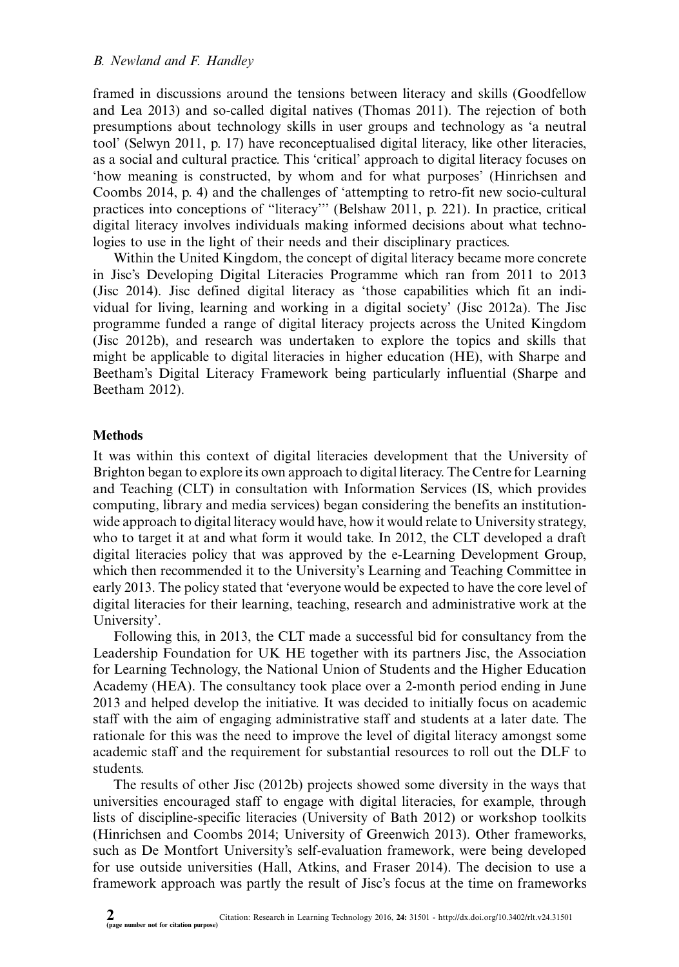framed in discussions around the tensions between literacy and skills (Goodfellow and Lea 2013) and so-called digital natives (Thomas 2011). The rejection of both presumptions about technology skills in user groups and technology as 'a neutral tool' (Selwyn 2011, p. 17) have reconceptualised digital literacy, like other literacies, as a social and cultural practice. This 'critical' approach to digital literacy focuses on 'how meaning is constructed, by whom and for what purposes' (Hinrichsen and Coombs 2014, p. 4) and the challenges of 'attempting to retro-fit new socio-cultural practices into conceptions of ''literacy''' (Belshaw 2011, p. 221). In practice, critical digital literacy involves individuals making informed decisions about what technologies to use in the light of their needs and their disciplinary practices.

Within the United Kingdom, the concept of digital literacy became more concrete in Jisc's Developing Digital Literacies Programme which ran from 2011 to 2013 (Jisc 2014). Jisc defined digital literacy as 'those capabilities which fit an individual for living, learning and working in a digital society' (Jisc 2012a). The Jisc programme funded a range of digital literacy projects across the United Kingdom (Jisc 2012b), and research was undertaken to explore the topics and skills that might be applicable to digital literacies in higher education (HE), with Sharpe and Beetham's Digital Literacy Framework being particularly influential (Sharpe and Beetham 2012).

#### **Methods**

It was within this context of digital literacies development that the University of Brighton began to explore its own approach to digital literacy. The Centre for Learning and Teaching (CLT) in consultation with Information Services (IS, which provides computing, library and media services) began considering the benefits an institutionwide approach to digital literacy would have, how it would relate to University strategy, who to target it at and what form it would take. In 2012, the CLT developed a draft digital literacies policy that was approved by the e-Learning Development Group, which then recommended it to the University's Learning and Teaching Committee in early 2013. The policy stated that 'everyone would be expected to have the core level of digital literacies for their learning, teaching, research and administrative work at the University'.

Following this, in 2013, the CLT made a successful bid for consultancy from the Leadership Foundation for UK HE together with its partners Jisc, the Association for Learning Technology, the National Union of Students and the Higher Education Academy (HEA). The consultancy took place over a 2-month period ending in June 2013 and helped develop the initiative. It was decided to initially focus on academic staff with the aim of engaging administrative staff and students at a later date. The rationale for this was the need to improve the level of digital literacy amongst some academic staff and the requirement for substantial resources to roll out the DLF to students.

The results of other Jisc (2012b) projects showed some diversity in the ways that universities encourag[ed](http://www.researchinlearningtechnology.net/index.php/rlt/article/view/31501) [staff](http://www.researchinlearningtechnology.net/index.php/rlt/article/view/31501) [to](http://www.researchinlearningtechnology.net/index.php/rlt/article/view/31501) [engage](http://www.researchinlearningtechnology.net/index.php/rlt/article/view/31501) [with](http://www.researchinlearningtechnology.net/index.php/rlt/article/view/31501) [digital](http://www.researchinlearningtechnology.net/index.php/rlt/article/view/31501) [literac](http://www.researchinlearningtechnology.net/index.php/rlt/article/view/31501)[ies,](http://dx.doi.org/10.3402/rlt.v24.31501) [for](http://dx.doi.org/10.3402/rlt.v24.31501) [example,](http://dx.doi.org/10.3402/rlt.v24.31501) [throug](http://dx.doi.org/10.3402/rlt.v24.31501)h lists of discipline-specific literacies (University of Bath 2012) or workshop toolkits (Hinrichsen and Coombs 2014; University of Greenwich 2013). Other frameworks, such as De Montfort University's self-evaluation framework, were being developed for use outside universities (Hall, Atkins, and Fraser 2014). The decision to use a framework approach was partly the result of Jisc's focus at the time on frameworks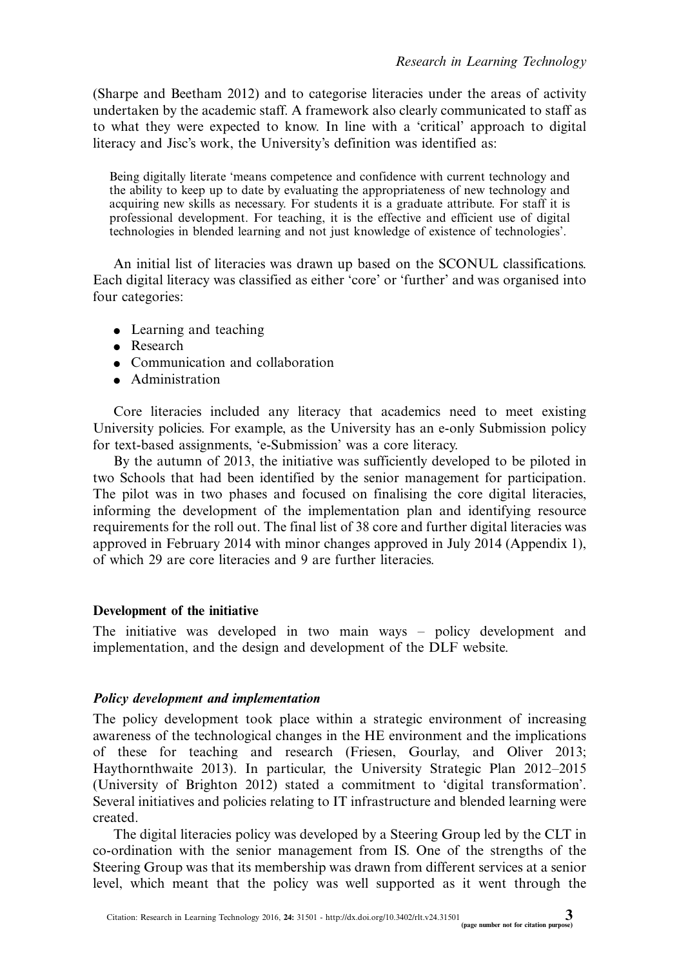(Sharpe and Beetham 2012) and to categorise literacies under the areas of activity undertaken by the academic staff. A framework also clearly communicated to staff as to what they were expected to know. In line with a 'critical' approach to digital literacy and Jisc's work, the University's definition was identified as:

Being digitally literate 'means competence and confidence with current technology and the ability to keep up to date by evaluating the appropriateness of new technology and acquiring new skills as necessary. For students it is a graduate attribute. For staff it is professional development. For teaching, it is the effective and efficient use of digital technologies in blended learning and not just knowledge of existence of technologies'.

An initial list of literacies was drawn up based on the SCONUL classifications. Each digital literacy was classified as either 'core' or 'further' and was organised into four categories:

- Learning and teaching
- Research
- Communication and collaboration
- Administration

Core literacies included any literacy that academics need to meet existing University policies. For example, as the University has an e-only Submission policy for text-based assignments, 'e-Submission' was a core literacy.

By the autumn of 2013, the initiative was sufficiently developed to be piloted in two Schools that had been identified by the senior management for participation. The pilot was in two phases and focused on finalising the core digital literacies, informing the development of the implementation plan and identifying resource requirements for the roll out. The final list of 38 core and further digital literacies was approved in February 2014 with minor changes approved in July 2014 (Appendix 1), of which 29 are core literacies and 9 are further literacies.

### Development of the initiative

The initiative was developed in two main ways – policy development and implementation, and the design and development of the DLF website.

### Policy development and implementation

The policy development took place within a strategic environment of increasing awareness of the technological changes in the HE environment and the implications of these for teaching and research (Friesen, Gourlay, and Oliver 2013; Haythornthwaite 2013). In particular, the University Strategic Plan 2012-2015 (University of Brighton 2012) stated a commitment to 'digital transformation'. Se[veral](http://www.researchinlearningtechnology.net/index.php/rlt/article/view/31501) [initiatives](http://www.researchinlearningtechnology.net/index.php/rlt/article/view/31501) [and](http://www.researchinlearningtechnology.net/index.php/rlt/article/view/31501) [policies](http://www.researchinlearningtechnology.net/index.php/rlt/article/view/31501) [relating](http://www.researchinlearningtechnology.net/index.php/rlt/article/view/31501) [t](http://www.researchinlearningtechnology.net/index.php/rlt/article/view/31501)[o](http://dx.doi.org/10.3402/rlt.v24.31501) [IT](http://dx.doi.org/10.3402/rlt.v24.31501) [infrastructure](http://dx.doi.org/10.3402/rlt.v24.31501) [and](http://dx.doi.org/10.3402/rlt.v24.31501) [b](http://dx.doi.org/10.3402/rlt.v24.31501)lended learning were created.

The digital literacies policy was developed by a Steering Group led by the CLT in co-ordination with the senior management from IS. One of the strengths of the Steering Group was that its membership was drawn from different services at a senior level, which meant that the policy was well supported as it went through the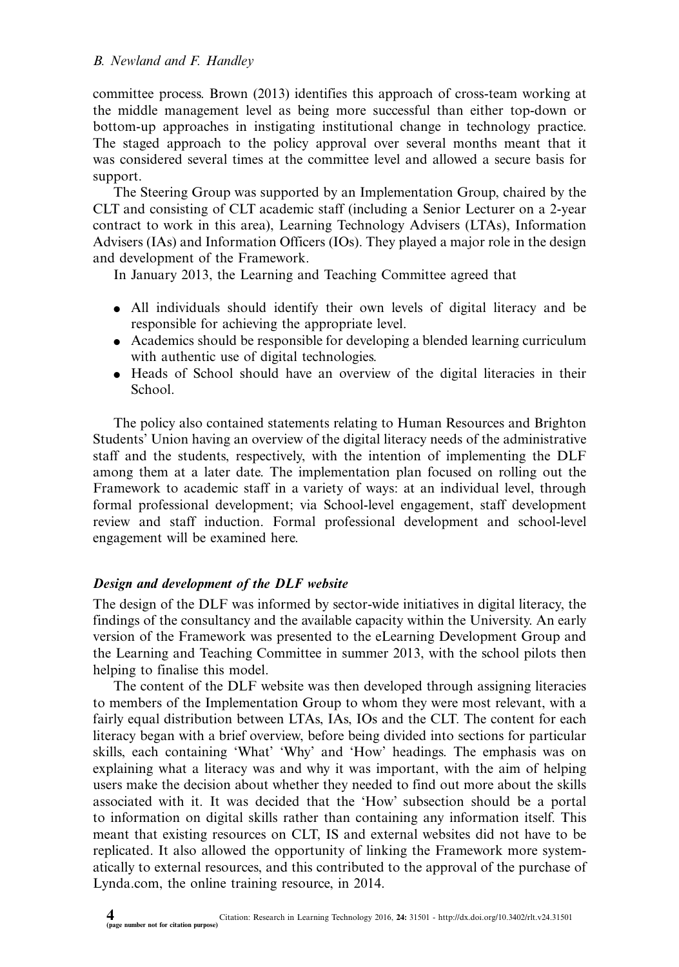committee process. Brown (2013) identifies this approach of cross-team working at the middle management level as being more successful than either top-down or bottom-up approaches in instigating institutional change in technology practice. The staged approach to the policy approval over several months meant that it was considered several times at the committee level and allowed a secure basis for support.

The Steering Group was supported by an Implementation Group, chaired by the CLT and consisting of CLT academic staff (including a Senior Lecturer on a 2-year contract to work in this area), Learning Technology Advisers (LTAs), Information Advisers (IAs) and Information Officers (IOs). They played a major role in the design and development of the Framework.

In January 2013, the Learning and Teaching Committee agreed that

- All individuals should identify their own levels of digital literacy and be responsible for achieving the appropriate level.
- Academics should be responsible for developing a blended learning curriculum with authentic use of digital technologies.
- Heads of School should have an overview of the digital literacies in their School.

The policy also contained statements relating to Human Resources and Brighton Students' Union having an overview of the digital literacy needs of the administrative staff and the students, respectively, with the intention of implementing the DLF among them at a later date. The implementation plan focused on rolling out the Framework to academic staff in a variety of ways: at an individual level, through formal professional development; via School-level engagement, staff development review and staff induction. Formal professional development and school-level engagement will be examined here.

## Design and development of the DLF website

The design of the DLF was informed by sector-wide initiatives in digital literacy, the findings of the consultancy and the available capacity within the University. An early version of the Framework was presented to the eLearning Development Group and the Learning and Teaching Committee in summer 2013, with the school pilots then helping to finalise this model.

The content of the DLF website was then developed through assigning literacies to members of the Implementation Group to whom they were most relevant, with a fairly equal distribution between LTAs, IAs, IOs and the CLT. The content for each literacy began with a brief overview, before being divided into sections for particular skills, each containing 'What' 'Why' and 'How' headings. The emphasis was on explaining what a literacy was and why it was important, with the aim of helping users make the decision about whether they needed to find out more about the skills associated with it. I[t](http://www.researchinlearningtechnology.net/index.php/rlt/article/view/31501) [was](http://www.researchinlearningtechnology.net/index.php/rlt/article/view/31501) [decided](http://www.researchinlearningtechnology.net/index.php/rlt/article/view/31501) [that](http://www.researchinlearningtechnology.net/index.php/rlt/article/view/31501) [the](http://www.researchinlearningtechnology.net/index.php/rlt/article/view/31501) ['How'](http://www.researchinlearningtechnology.net/index.php/rlt/article/view/31501) [subse](http://www.researchinlearningtechnology.net/index.php/rlt/article/view/31501)[ction](http://dx.doi.org/10.3402/rlt.v24.31501) [should](http://dx.doi.org/10.3402/rlt.v24.31501) [be](http://dx.doi.org/10.3402/rlt.v24.31501) [a](http://dx.doi.org/10.3402/rlt.v24.31501) [port](http://dx.doi.org/10.3402/rlt.v24.31501)al to information on digital skills rather than containing any information itself. This meant that existing resources on CLT, IS and external websites did not have to be replicated. It also allowed the opportunity of linking the Framework more systematically to external resources, and this contributed to the approval of the purchase of Lynda.com, the online training resource, in 2014.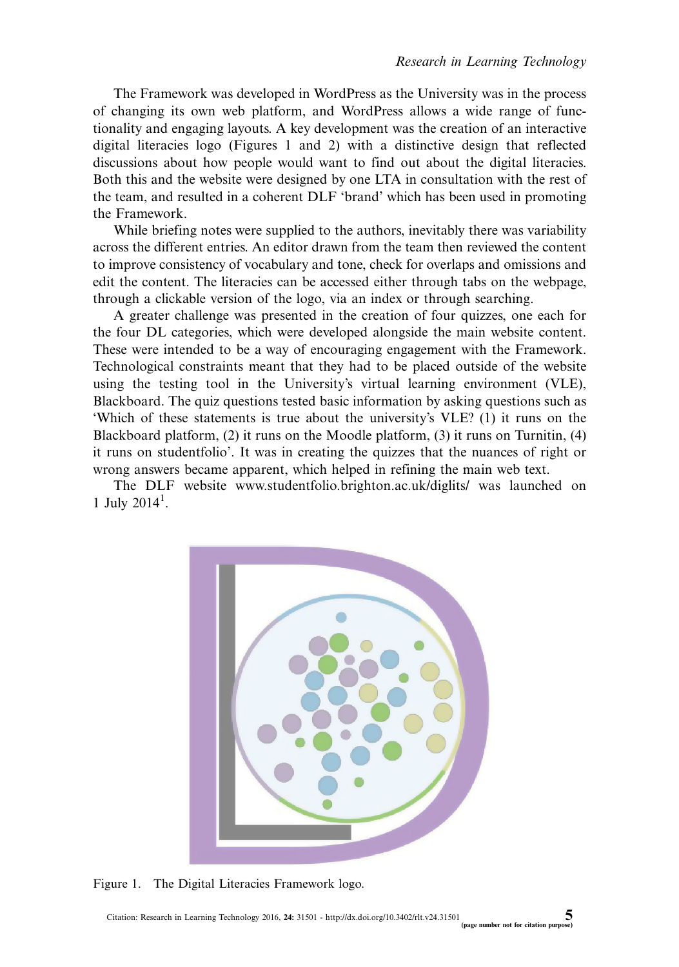The Framework was developed in WordPress as the University was in the process of changing its own web platform, and WordPress allows a wide range of functionality and engaging layouts. A key development was the creation of an interactive digital literacies logo (Figures 1 and 2) with a distinctive design that reflected discussions about how people would want to find out about the digital literacies. Both this and the website were designed by one LTA in consultation with the rest of the team, and resulted in a coherent DLF 'brand' which has been used in promoting the Framework.

While briefing notes were supplied to the authors, inevitably there was variability across the different entries. An editor drawn from the team then reviewed the content to improve consistency of vocabulary and tone, check for overlaps and omissions and edit the content. The literacies can be accessed either through tabs on the webpage, through a clickable version of the logo, via an index or through searching.

A greater challenge was presented in the creation of four quizzes, one each for the four DL categories, which were developed alongside the main website content. These were intended to be a way of encouraging engagement with the Framework. Technological constrain[ts meant that they had to be placed ou](http://www.studentfolio.brighton.ac.uk/diglits/)tside of the website using the testing tool in the University's virtual learning environment (VLE), Blackboard. The quiz questions tested basic information by asking questions such as 'Which of these statements is true about the university's VLE? (1) it runs on the Blackboard platform, (2) it runs on the Moodle platform, (3) it runs on Turnitin, (4) it runs on studentfolio'. It was in creating the quizzes that the nuances of right or wrong answers became apparent, which helped in refining the main web text.

The DLF website www.studentfolio.brighton.ac.uk/diglits/ was launched on 1 July 2014<sup>1</sup> .



Figure 1. The Digital Literacies Framework logo.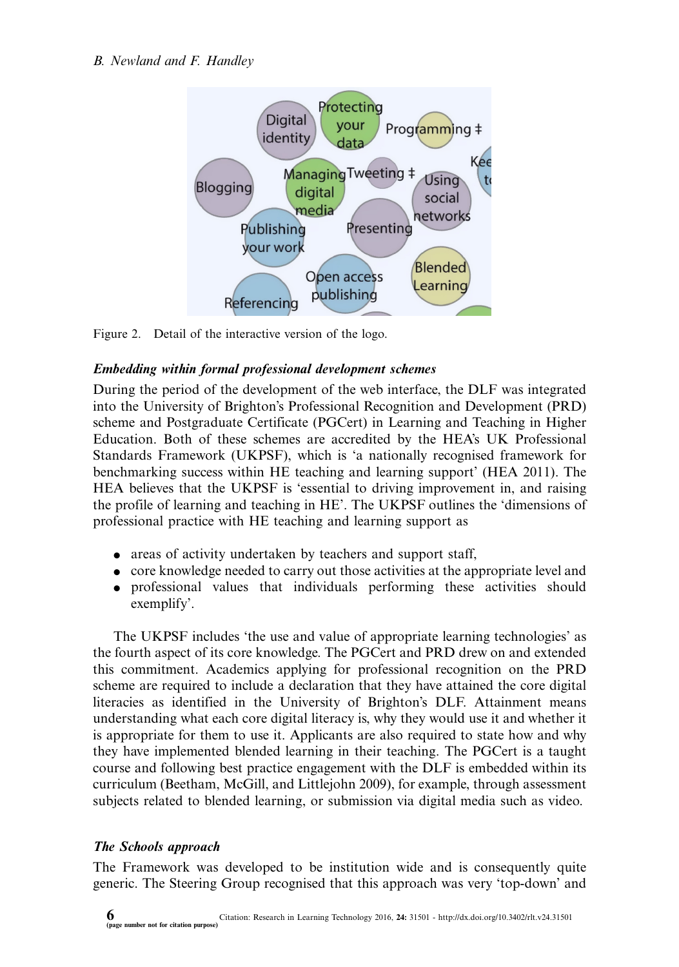

Figure 2. Detail of the interactive version of the logo.

## Embedding within formal professional development schemes

During the period of the development of the web interface, the DLF was integrated into the University of Brighton's Professional Recognition and Development (PRD) scheme and Postgraduate Certificate (PGCert) in Learning and Teaching in Higher Education. Both of these schemes are accredited by the HEA's UK Professional Standards Framework (UKPSF), which is 'a nationally recognised framework for benchmarking success within HE teaching and learning support' (HEA 2011). The HEA believes that the UKPSF is 'essential to driving improvement in, and raising the profile of learning and teaching in HE'. The UKPSF outlines the 'dimensions of professional practice with HE teaching and learning support as

- areas of activity undertaken by teachers and support staff,
- core knowledge needed to carry out those activities at the appropriate level and
- professional values that individuals performing these activities should exemplify'.

The UKPSF includes 'the use and value of appropriate learning technologies' as the fourth aspect of its core knowledge. The PGCert and PRD drew on and extended this commitment. Academics applying for professional recognition on the PRD scheme are required to include a declaration that they have attained the core digital literacies as identified in the University of Brighton's DLF. Attainment means understanding what each core digital literacy is, why they would use it and whether it is appropriate for them to use it. Applicants are also required to state how and why they have implemented blended learning in their teaching. The PGCert is a taught course and following best practice engagement with the DLF is embedded within its curriculum (Beetham, McGill, and Littlejohn 2009), for example, through assessment subjects related to bl[ended](http://www.researchinlearningtechnology.net/index.php/rlt/article/view/31501) [learning,](http://www.researchinlearningtechnology.net/index.php/rlt/article/view/31501) [or](http://www.researchinlearningtechnology.net/index.php/rlt/article/view/31501) [submission](http://www.researchinlearningtechnology.net/index.php/rlt/article/view/31501) [via](http://www.researchinlearningtechnology.net/index.php/rlt/article/view/31501) [dig](http://www.researchinlearningtechnology.net/index.php/rlt/article/view/31501)[ital](http://dx.doi.org/10.3402/rlt.v24.31501) [media](http://dx.doi.org/10.3402/rlt.v24.31501) [such](http://dx.doi.org/10.3402/rlt.v24.31501) [as](http://dx.doi.org/10.3402/rlt.v24.31501) [video](http://dx.doi.org/10.3402/rlt.v24.31501).

#### The Schools approach

The Framework was developed to be institution wide and is consequently quite generic. The Steering Group recognised that this approach was very 'top-down' and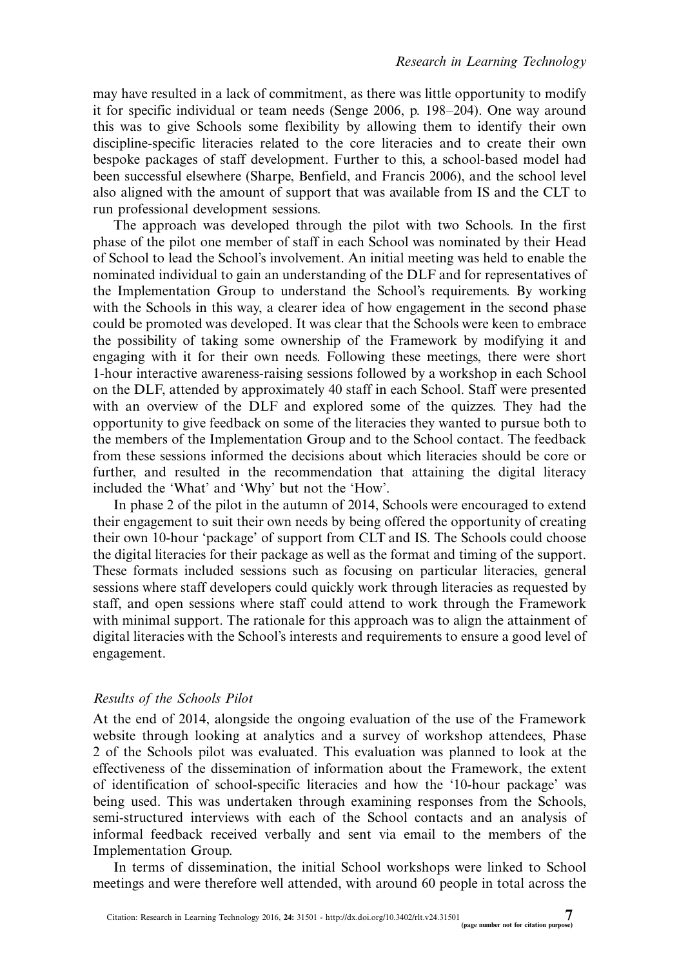may have resulted in a lack of commitment, as there was little opportunity to modify it for specific individual or team needs (Senge 2006, p. 198-204). One way around this was to give Schools some flexibility by allowing them to identify their own discipline-specific literacies related to the core literacies and to create their own bespoke packages of staff development. Further to this, a school-based model had been successful elsewhere (Sharpe, Benfield, and Francis 2006), and the school level also aligned with the amount of support that was available from IS and the CLT to run professional development sessions.

The approach was developed through the pilot with two Schools. In the first phase of the pilot one member of staff in each School was nominated by their Head of School to lead the School's involvement. An initial meeting was held to enable the nominated individual to gain an understanding of the DLF and for representatives of the Implementation Group to understand the School's requirements. By working with the Schools in this way, a clearer idea of how engagement in the second phase could be promoted was developed. It was clear that the Schools were keen to embrace the possibility of taking some ownership of the Framework by modifying it and engaging with it for their own needs. Following these meetings, there were short 1-hour interactive awareness-raising sessions followed by a workshop in each School on the DLF, attended by approximately 40 staff in each School. Staff were presented with an overview of the DLF and explored some of the quizzes. They had the opportunity to give feedback on some of the literacies they wanted to pursue both to the members of the Implementation Group and to the School contact. The feedback from these sessions informed the decisions about which literacies should be core or further, and resulted in the recommendation that attaining the digital literacy included the 'What' and 'Why' but not the 'How'.

In phase 2 of the pilot in the autumn of 2014, Schools were encouraged to extend their engagement to suit their own needs by being offered the opportunity of creating their own 10-hour 'package' of support from CLT and IS. The Schools could choose the digital literacies for their package as well as the format and timing of the support. These formats included sessions such as focusing on particular literacies, general sessions where staff developers could quickly work through literacies as requested by staff, and open sessions where staff could attend to work through the Framework with minimal support. The rationale for this approach was to align the attainment of digital literacies with the School's interests and requirements to ensure a good level of engagement.

### Results of the Schools Pilot

At the end of 2014, alongside the ongoing evaluation of the use of the Framework website through looking at analytics and a survey of workshop attendees, Phase 2 of the Schools pilot was evaluated. This evaluation was planned to look at the effectiveness of the dissemination of information about the Framework, the extent of identification of school-specific literacies and how the '10-hour package' was be[ing](http://www.researchinlearningtechnology.net/index.php/rlt/article/view/31501) [used.](http://www.researchinlearningtechnology.net/index.php/rlt/article/view/31501) [This](http://www.researchinlearningtechnology.net/index.php/rlt/article/view/31501) [was](http://www.researchinlearningtechnology.net/index.php/rlt/article/view/31501) [undertaken](http://www.researchinlearningtechnology.net/index.php/rlt/article/view/31501) [thro](http://www.researchinlearningtechnology.net/index.php/rlt/article/view/31501)[ugh](http://dx.doi.org/10.3402/rlt.v24.31501) [examining](http://dx.doi.org/10.3402/rlt.v24.31501) [respons](http://dx.doi.org/10.3402/rlt.v24.31501)es from the Schools, semi-structured interviews with each of the School contacts and an analysis of informal feedback received verbally and sent via email to the members of the Implementation Group.

In terms of dissemination, the initial School workshops were linked to School meetings and were therefore well attended, with around 60 people in total across the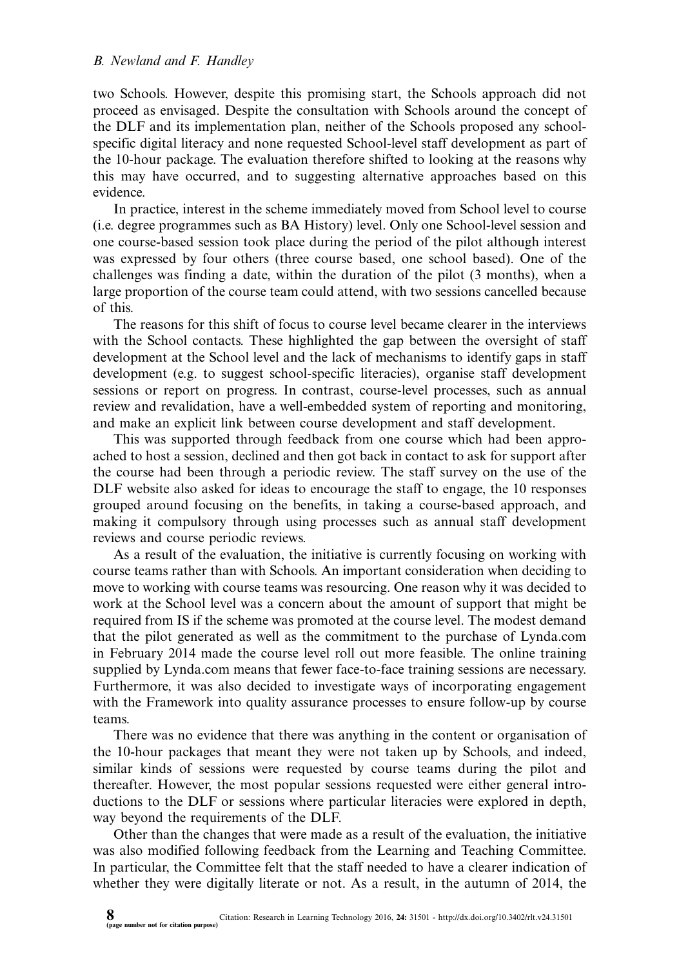two Schools. However, despite this promising start, the Schools approach did not proceed as envisaged. Despite the consultation with Schools around the concept of the DLF and its implementation plan, neither of the Schools proposed any schoolspecific digital literacy and none requested School-level staff development as part of the 10-hour package. The evaluation therefore shifted to looking at the reasons why this may have occurred, and to suggesting alternative approaches based on this evidence.

In practice, interest in the scheme immediately moved from School level to course (i.e. degree programmes such as BA History) level. Only one School-level session and one course-based session took place during the period of the pilot although interest was expressed by four others (three course based, one school based). One of the challenges was finding a date, within the duration of the pilot (3 months), when a large proportion of the course team could attend, with two sessions cancelled because of this.

The reasons for this shift of focus to course level became clearer in the interviews with the School contacts. These highlighted the gap between the oversight of staff development at the School level and the lack of mechanisms to identify gaps in staff development (e.g. to suggest school-specific literacies), organise staff development sessions or report on progress. In contrast, course-level processes, such as annual review and revalidation, have a well-embedded system of reporting and monitoring, and make an explicit link between course development and staff development.

This was supported through feedback from one course which had been approached to host a session, declined and then got back in contact to ask for support after the course had been through a periodic review. The staff survey on the use of the DLF website also asked for ideas to encourage the staff to engage, the 10 responses grouped around focusing on the benefits, in taking a course-based approach, and making it compulsory through using processes such as annual staff development reviews and course periodic reviews.

As a result of the evaluation, the initiative is currently focusing on working with course teams rather than with Schools. An important consideration when deciding to move to working with course teams was resourcing. One reason why it was decided to work at the School level was a concern about the amount of support that might be required from IS if the scheme was promoted at the course level. The modest demand that the pilot generated as well as the commitment to the purchase of Lynda.com in February 2014 made the course level roll out more feasible. The online training supplied by Lynda.com means that fewer face-to-face training sessions are necessary. Furthermore, it was also decided to investigate ways of incorporating engagement with the Framework into quality assurance processes to ensure follow-up by course teams.

There was no evidence that there was anything in the content or organisation of the 10-hour packages that meant they were not taken up by Schools, and indeed, similar kinds of sessions were requested by course teams during the pilot and thereafter. However, the most popular sessions requested were either general introductions to the DLF [or](http://www.researchinlearningtechnology.net/index.php/rlt/article/view/31501) [sessions](http://www.researchinlearningtechnology.net/index.php/rlt/article/view/31501) [where](http://www.researchinlearningtechnology.net/index.php/rlt/article/view/31501) [particular](http://www.researchinlearningtechnology.net/index.php/rlt/article/view/31501) [literacie](http://www.researchinlearningtechnology.net/index.php/rlt/article/view/31501)[s](http://dx.doi.org/10.3402/rlt.v24.31501) [were](http://dx.doi.org/10.3402/rlt.v24.31501) [explored](http://dx.doi.org/10.3402/rlt.v24.31501) [in](http://dx.doi.org/10.3402/rlt.v24.31501) [dept](http://dx.doi.org/10.3402/rlt.v24.31501)h, way beyond the requirements of the DLF.

Other than the changes that were made as a result of the evaluation, the initiative was also modified following feedback from the Learning and Teaching Committee. In particular, the Committee felt that the staff needed to have a clearer indication of whether they were digitally literate or not. As a result, in the autumn of 2014, the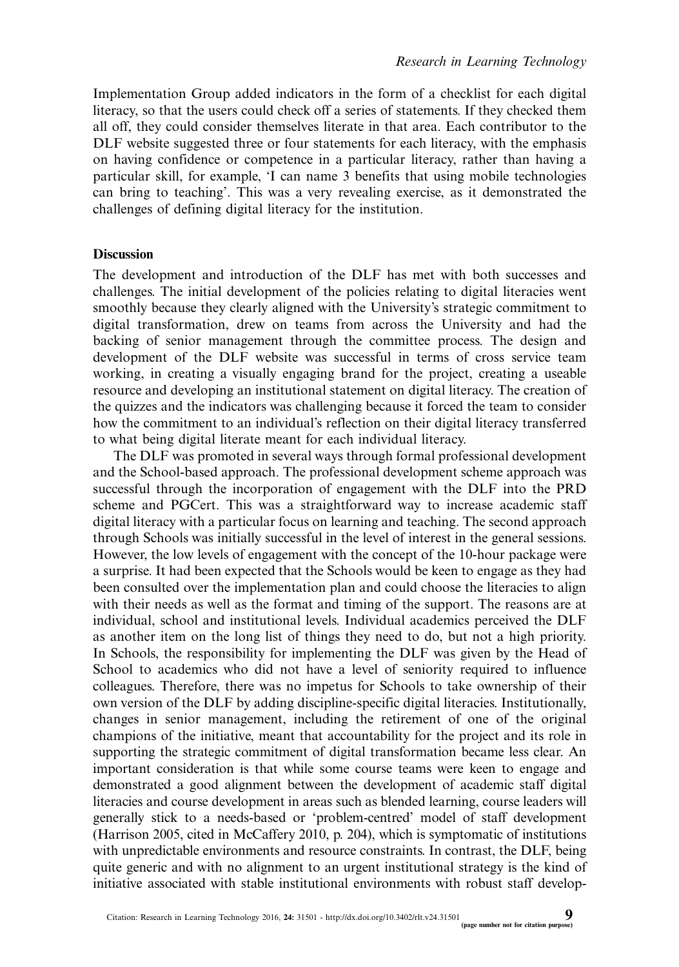Implementation Group added indicators in the form of a checklist for each digital literacy, so that the users could check off a series of statements. If they checked them all off, they could consider themselves literate in that area. Each contributor to the DLF website suggested three or four statements for each literacy, with the emphasis on having confidence or competence in a particular literacy, rather than having a particular skill, for example, 'I can name 3 benefits that using mobile technologies can bring to teaching'. This was a very revealing exercise, as it demonstrated the challenges of defining digital literacy for the institution.

## **Discussion**

The development and introduction of the DLF has met with both successes and challenges. The initial development of the policies relating to digital literacies went smoothly because they clearly aligned with the University's strategic commitment to digital transformation, drew on teams from across the University and had the backing of senior management through the committee process. The design and development of the DLF website was successful in terms of cross service team working, in creating a visually engaging brand for the project, creating a useable resource and developing an institutional statement on digital literacy. The creation of the quizzes and the indicators was challenging because it forced the team to consider how the commitment to an individual's reflection on their digital literacy transferred to what being digital literate meant for each individual literacy.

The DLF was promoted in several ways through formal professional development and the School-based approach. The professional development scheme approach was successful through the incorporation of engagement with the DLF into the PRD scheme and PGCert. This was a straightforward way to increase academic staff digital literacy with a particular focus on learning and teaching. The second approach through Schools was initially successful in the level of interest in the general sessions. However, the low levels of engagement with the concept of the 10-hour package were a surprise. It had been expected that the Schools would be keen to engage as they had been consulted over the implementation plan and could choose the literacies to align with their needs as well as the format and timing of the support. The reasons are at individual, school and institutional levels. Individual academics perceived the DLF as another item on the long list of things they need to do, but not a high priority. In Schools, the responsibility for implementing the DLF was given by the Head of School to academics who did not have a level of seniority required to influence colleagues. Therefore, there was no impetus for Schools to take ownership of their own version of the DLF by adding discipline-specific digital literacies. Institutionally, changes in senior management, including the retirement of one of the original champions of the initiative, meant that accountability for the project and its role in supporting the strategic commitment of digital transformation became less clear. An important consideration is that while some course teams were keen to engage and demonstrated a good alignment between the development of academic staff digital lit[eracies](http://www.researchinlearningtechnology.net/index.php/rlt/article/view/31501) [and](http://www.researchinlearningtechnology.net/index.php/rlt/article/view/31501) [course](http://www.researchinlearningtechnology.net/index.php/rlt/article/view/31501) [development](http://www.researchinlearningtechnology.net/index.php/rlt/article/view/31501) [in](http://www.researchinlearningtechnology.net/index.php/rlt/article/view/31501) [are](http://www.researchinlearningtechnology.net/index.php/rlt/article/view/31501)[as](http://dx.doi.org/10.3402/rlt.v24.31501) [such](http://dx.doi.org/10.3402/rlt.v24.31501) [as](http://dx.doi.org/10.3402/rlt.v24.31501) [blended](http://dx.doi.org/10.3402/rlt.v24.31501) [learni](http://dx.doi.org/10.3402/rlt.v24.31501)ng, course leaders will generally stick to a needs-based or 'problem-centred' model of staff development (Harrison 2005, cited in McCaffery 2010, p. 204), which is symptomatic of institutions with unpredictable environments and resource constraints. In contrast, the DLF, being quite generic and with no alignment to an urgent institutional strategy is the kind of initiative associated with stable institutional environments with robust staff develop-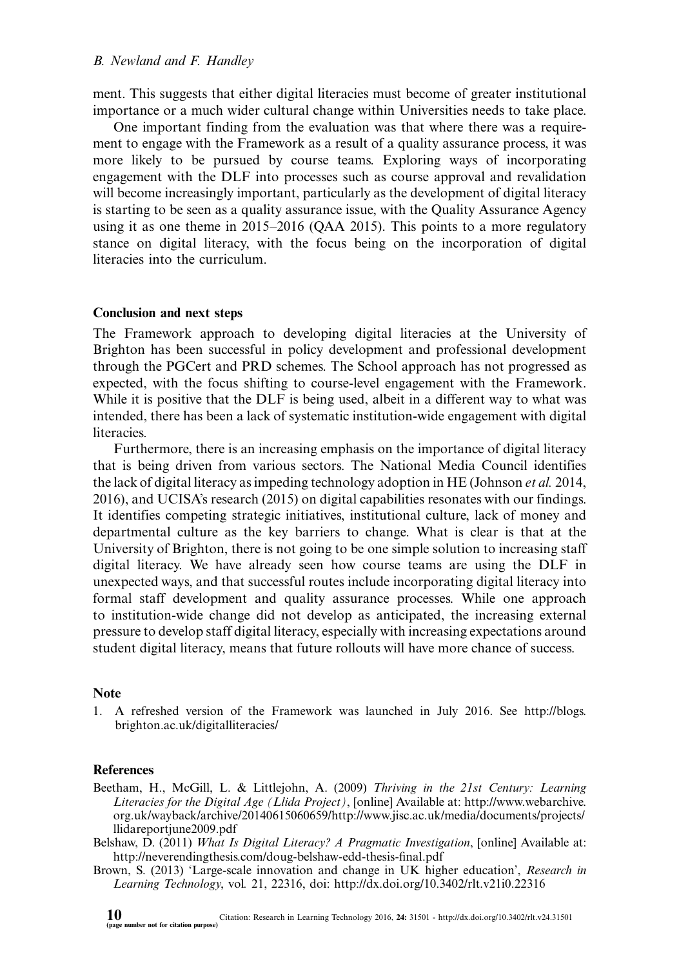ment. This suggests that either digital literacies must become of greater institutional importance or a much wider cultural change within Universities needs to take place.

One important finding from the evaluation was that where there was a requirement to engage with the Framework as a result of a quality assurance process, it was more likely to be pursued by course teams. Exploring ways of incorporating engagement with the DLF into processes such as course approval and revalidation will become increasingly important, particularly as the development of digital literacy is starting to be seen as a quality assurance issue, with the Quality Assurance Agency using it as one theme in 2015-2016 (QAA 2015). This points to a more regulatory stance on digital literacy, with the focus being on the incorporation of digital literacies into the curriculum.

#### Conclusion and next steps

The Framework approach to developing digital literacies at the University of Brighton has been successful in policy development and professional development through the PGCert and PRD schemes. The School approach has not progressed as expected, with the focus shifting to course-level engagement with the Framework. While it is positive that the DLF is being used, albeit in a different way to what was intended, there has been a lack of systematic institution-wide engagement with digital literacies.

Furthermore, there is an increasing emphasis on the importance of digital literacy that is being driven from various sectors. The National Media Council identifies the lack of digital literacy as impeding technology adoption in HE (Johnson et al. 2014, 2016), and UCISA's research (2015) on digital capabilities resonates with our findings. It identifies competing strategic initiatives, institutional culture, lack of money and departmental culture as the key barriers to change. What is clear is that at the University of Brighton, there is not going to be one simple solution to increasing staff digital literacy. We have already seen how course teams are using the DLF in unexpected ways, and that successful routes include incorporating digital li[teracy into](http://blogs.brighton.ac.uk/digitalliteracies/) for[mal staff development and](http://blogs.brighton.ac.uk/digitalliteracies/) quality assurance processes. While one approach to institution-wide change did not develop as anticipated, the increasing external pressure to develop staff digital literacy, especially with increasing expectations around student digital literacy, means that future rollouts will have more chance of success.

## **No[te](http://www.webarchive.org.uk/wayback/archive/20140615060659/)**

1. [A](http://www.jisc.ac.uk/media/documents/projects/llidareportjune2009.pdf) [refreshed](http://www.jisc.ac.uk/media/documents/projects/llidareportjune2009.pdf) [version](http://www.jisc.ac.uk/media/documents/projects/llidareportjune2009.pdf) [o](http://www.jisc.ac.uk/media/documents/projects/llidareportjune2009.pdf)f the Framework was launched in July 2016. See http://blogs. [brighton.ac.uk/digitalliteracies/](http://neverendingthesis.com/doug-belshaw-edd-thesis-final.pdf)

#### References

- Beetham, H., McGill, L. & Littlejohn, A. (2009) Thriving in the 21st Century: Learning Literacies for the Di[gital](http://www.researchinlearningtechnology.net/index.php/rlt/article/view/31501) [Age](http://www.researchinlearningtechnology.net/index.php/rlt/article/view/31501) [\(Llida](http://www.researchinlearningtechnology.net/index.php/rlt/article/view/31501) [Project\)](http://www.researchinlearningtechnology.net/index.php/rlt/article/view/31501), [online] Availab[le](http://dx.doi.org/10.3402/rlt.v24.31501) [at:](http://dx.doi.org/10.3402/rlt.v24.31501) [http://www.webarchi](http://dx.doi.org/10.3402/rlt.v24.31501)ve. org.uk/wayback/archive/20140615060659/http://www.jisc.ac.uk/media/documents/projects/ llidareportjune2009.pdf
- Belshaw, D. (2011) What Is Digital Literacy? A Pragmatic Investigation, [online] Available at: http://neverendingthesis.com/doug-belshaw-edd-thesis-final.pdf
- Brown, S. (2013) 'Large-scale innovation and change in UK higher education', Research in Learning Technology, vol. 21, 22316, doi: http://dx.doi.org/10.3402/rlt.v21i0.22316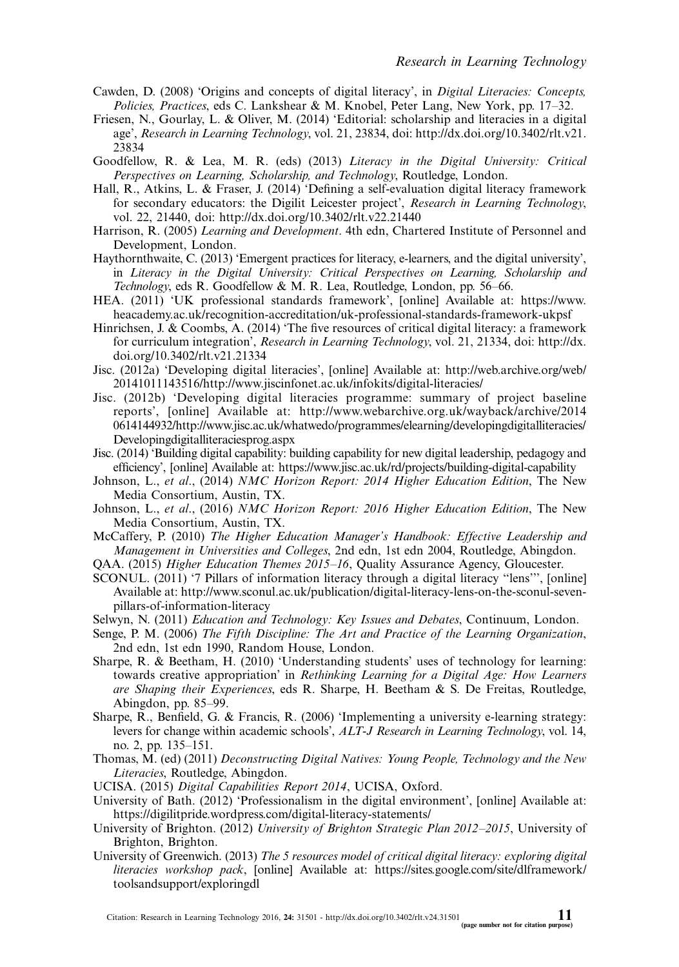- Cawden, D. (2008) 'Ori[gins and concepts of digital literacy',](http://dx.doi.org/10.3402/rlt.v22.21440) in Digital Literacies: Concepts, Policies, Practices, eds C. Lankshear & M. Knobel, Peter Lang, New York, pp. 17-32.
- Friesen, N., Gourlay, L. & Oliver, M. (2014) 'Editorial: scholarship and literacies in a digital age', Research in Learning Technology, vol. 21, 23834, doi: http://dx.doi.org/10.3402/rlt.v21. 23834
- Goodfellow, R. & Lea, M. R. (eds) (2013) Literacy in the Digital University: Critical Perspectives on Learning, Scholarship, and Technology, Routledge, London.
- Hal[l, R., Atkins, L. & Fraser, J. \(2014\) 'Defining a self-evaluation digital literacy framework](https://www.heacademy.ac.uk/recognition-accreditation/uk-professional-standards-framework-ukpsf) for secondary educators: the Digilit Leicester project', Research in Learning Technology, vol. 22, 21440, doi: http://dx.doi.org/10.3402/rlt.v22.21440
- Ha[rrison, R. \(2005\)](http://dx.doi.org/10.3402/rlt.v21.21334) Learning and Development. 4th edn, Chartered Institute of Pers[onnel](http://dx.doi.org/10.3402/rlt.v21.21334) [and](http://dx.doi.org/10.3402/rlt.v21.21334) Development, London.
- Ha[ythornthwaite, C. \(](http://web.archive.org/web/20141011143516/)[2013\) 'Emergent practices for literacy, e-learners, and th](http://www.jiscinfonet.ac.uk/infokits/digital-literacies/)[e](http://web.archive.org/web/20141011143516/) [digital](http://web.archive.org/web/20141011143516/) [university',](http://web.archive.org/web/20141011143516/) in Literacy in the Digital University: Critical Perspectives on Learning, Scholarship and Technology, eds R. Goodfellow & [M. R. Lea, Routledge, London, pp. 56](http://www.webarchive.org.uk/wayback/archive/20140614144932/)-66.
- HE[A. \(2011\) '](http://www.webarchive.org.uk/wayback/archive/20140614144932/)[UK professional standards framework', \[online\] Available at: https://www.](http://www.jisc.ac.uk/whatwedo/programmes/elearning/developingdigitalliteracies/Developingdigitalliteraciesprog.aspx) [heacademy.ac.uk/recognition-accre](http://www.jisc.ac.uk/whatwedo/programmes/elearning/developingdigitalliteracies/Developingdigitalliteraciesprog.aspx)ditation/uk-professional-standards-framework-ukpsf
- Hinrichsen, J. & Coombs, A. (2014) 'The five resources of critical digital literacy: a framework for curriculum integration', Re[search in Learning Technology](https://www.jisc.ac.uk/rd/projects/building-digital-capability), vol. 21, 21334, doi: http://dx. doi.org/10.3402/rlt.v21.21334
- Jisc. (2012a) 'Developing digital literacies', [online] Available at: http://web.archive.org/web/ 20141011143516/http://www.jiscinfonet.ac.uk/infokits/digital-literacies/
- Jisc. (2012b) 'Developing digital literacies programme: summary of project baseline reports', [online] Available at: http://www.webarchive.org.uk/wayback/archive/2014 0614144932/http://www.jisc.ac.uk/whatwedo/programmes/elearning/developingdigitalliteracies/ Developingdigitalliteraciesprog.aspx
- Jisc. (2014) 'Building digital capability: building capability for new digital leadership, pedagogy and efficiency', [o[nline\] Available at: https://www.jisc.ac.uk/rd/projects/building-digital-capability](http://www.sconul.ac.uk/publication/digital-literacy-lens-on-the-sconul-seven-pillars-of-information-literacy)
- Joh[nson, L.,](http://www.sconul.ac.uk/publication/digital-literacy-lens-on-the-sconul-seven-pillars-of-information-literacy) et al., (2014) NMC Horizon Report: 2014 Higher Education Edition, The New Media Consortium, Austin, TX.
- Johnson, L., et al., (2016) NMC Horizon Report: 2016 Higher Education Edition, The New Media Consortium, Austin, TX.
- McCaffery, P. (2010) The Higher Education Manager's Handbook: Effective Leadership and Management in Universities and Colleges, 2nd edn, 1st edn 2004, Routledge, Abingdon.
- QAA. (2015) Higher Education Themes 2015-16, Quality Assurance Agency, Gloucester.
- SCONUL. (2011) '7 Pillars of information literacy through a digital literacy ''lens''', [online] Available at: http://www.sconul.ac.uk/publication/digital-literacy-lens-on-the-sconul-sevenpillars-of-information-literacy
- Selwyn, N. (2011) Education and Technology: Key Issues and Debates, Continuum, London.
- Senge, P. M. (2006) The Fifth Discipline: The Art and Practice of the Learning Organization, 2nd edn, 1st edn 1990, Random House, London.
- Sharpe, R. & Beetham, H. (2010) 'Understanding students' uses of technology for learning: towards creative appropriation' in Rethinking Learning for a Digital Age: How Learners are Shaping their Experiences[, eds R. Sharpe, H. Beetham](https://digilitpride.wordpress.com/digital-literacy-statements/) & S. De Freitas, Routledge, Abingdon, pp. 85-99.
- Sharpe, R., Benfield, G. & Francis, R. (2006) 'Implementing a university e-learning strategy: levers for change within academic schools', ALT-J Research in Learning Technology, vol. 14, no. 2, pp. 135-151.
- Th[omas, M. \(ed\) \(2011\)](https://sites.google.com/site/dlframework/toolsandsupport/exploringdl) Deconstructing Digital Native[s:](https://sites.google.com/site/dlframework/toolsandsupport/exploringdl) [Young](https://sites.google.com/site/dlframework/toolsandsupport/exploringdl) [People,](https://sites.google.com/site/dlframework/toolsandsupport/exploringdl) [Technology](https://sites.google.com/site/dlframework/toolsandsupport/exploringdl) [and](https://sites.google.com/site/dlframework/toolsandsupport/exploringdl) [the](https://sites.google.com/site/dlframework/toolsandsupport/exploringdl) [New](https://sites.google.com/site/dlframework/toolsandsupport/exploringdl) Literacies, Routledge, Abingdon.
- UCISA. (2015) Digital Capabilities Report 2014, UCISA, Oxford.
- U[niversity](http://www.researchinlearningtechnology.net/index.php/rlt/article/view/31501) [of](http://www.researchinlearningtechnology.net/index.php/rlt/article/view/31501) [Bath.](http://www.researchinlearningtechnology.net/index.php/rlt/article/view/31501) [\(2012\)](http://www.researchinlearningtechnology.net/index.php/rlt/article/view/31501) ['Professionalism](http://www.researchinlearningtechnology.net/index.php/rlt/article/view/31501) [in](http://dx.doi.org/10.3402/rlt.v24.31501) [the](http://dx.doi.org/10.3402/rlt.v24.31501) [digital](http://dx.doi.org/10.3402/rlt.v24.31501) [environmen](http://dx.doi.org/10.3402/rlt.v24.31501)t', [online] Available at: https://digilitpride.wordpress.com/digital-literacy-statements/
- University of Brighton. (2012) University of Brighton Strategic Plan 2012-2015, University of Brighton, Brighton.
- University of Greenwich. (2013) The 5 resources model of critical digital literacy: exploring digital literacies workshop pack, [online] Available at: https://sites.google.com/site/dlframework/ toolsandsupport/exploringdl